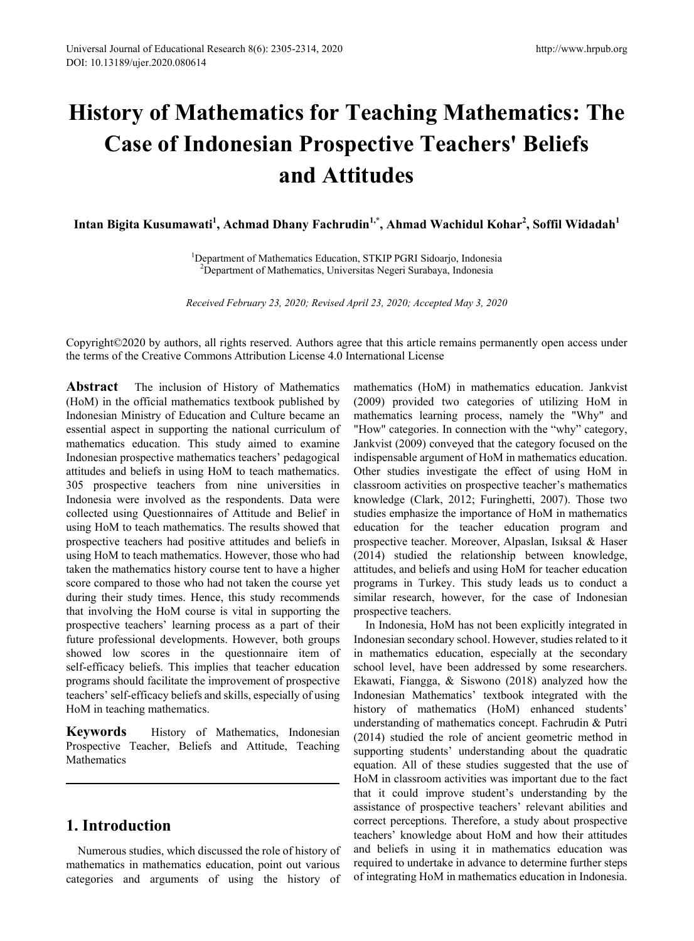# **History of Mathematics for Teaching Mathematics: The Case of Indonesian Prospective Teachers' Beliefs and Attitudes**

 $\bold{I}$ ntan Bigita Kusumawati<sup>1</sup>, Achmad Dhany Fachrudin<sup>1,\*</sup>, Ahmad Wachidul Kohar<sup>2</sup>, Soffil Widadah<sup>1</sup>

<sup>1</sup>Department of Mathematics Education, STKIP PGRI Sidoarjo, Indonesia<br><sup>2</sup>Department of Mathematics University Negeri Surabaya, Indonesia <sup>2</sup>Department of Mathematics, Universitas Negeri Surabaya, Indonesia

*Received February 23, 2020; Revised April 23, 2020; Accepted May 3, 2020*

Copyright©2020 by authors, all rights reserved. Authors agree that this article remains permanently open access under the terms of the Creative Commons Attribution License 4.0 International License

**Abstract** The inclusion of History of Mathematics (HoM) in the official mathematics textbook published by Indonesian Ministry of Education and Culture became an essential aspect in supporting the national curriculum of mathematics education. This study aimed to examine Indonesian prospective mathematics teachers' pedagogical attitudes and beliefs in using HoM to teach mathematics. 305 prospective teachers from nine universities in Indonesia were involved as the respondents. Data were collected using Questionnaires of Attitude and Belief in using HoM to teach mathematics. The results showed that prospective teachers had positive attitudes and beliefs in using HoM to teach mathematics. However, those who had taken the mathematics history course tent to have a higher score compared to those who had not taken the course yet during their study times. Hence, this study recommends that involving the HoM course is vital in supporting the prospective teachers' learning process as a part of their future professional developments. However, both groups showed low scores in the questionnaire item of self-efficacy beliefs. This implies that teacher education programs should facilitate the improvement of prospective teachers' self-efficacy beliefs and skills, especially of using HoM in teaching mathematics.

**Keywords** History of Mathematics, Indonesian Prospective Teacher, Beliefs and Attitude, Teaching **Mathematics** 

### **1. Introduction**

Numerous studies, which discussed the role of history of mathematics in mathematics education, point out various categories and arguments of using the history of mathematics (HoM) in mathematics education. Jankvist (2009) provided two categories of utilizing HoM in mathematics learning process, namely the "Why" and "How" categories. In connection with the "why" category, Jankvist (2009) conveyed that the category focused on the indispensable argument of HoM in mathematics education. Other studies investigate the effect of using HoM in classroom activities on prospective teacher's mathematics knowledge (Clark, 2012; Furinghetti, 2007). Those two studies emphasize the importance of HoM in mathematics education for the teacher education program and prospective teacher. Moreover, Alpaslan, Isıksal & Haser (2014) studied the relationship between knowledge, attitudes, and beliefs and using HoM for teacher education programs in Turkey. This study leads us to conduct a similar research, however, for the case of Indonesian prospective teachers.

In Indonesia, HoM has not been explicitly integrated in Indonesian secondary school. However, studies related to it in mathematics education, especially at the secondary school level, have been addressed by some researchers. Ekawati, Fiangga, & Siswono (2018) analyzed how the Indonesian Mathematics' textbook integrated with the history of mathematics (HoM) enhanced students' understanding of mathematics concept. Fachrudin & Putri (2014) studied the role of ancient geometric method in supporting students' understanding about the quadratic equation. All of these studies suggested that the use of HoM in classroom activities was important due to the fact that it could improve student's understanding by the assistance of prospective teachers' relevant abilities and correct perceptions. Therefore, a study about prospective teachers' knowledge about HoM and how their attitudes and beliefs in using it in mathematics education was required to undertake in advance to determine further steps of integrating HoM in mathematics education in Indonesia.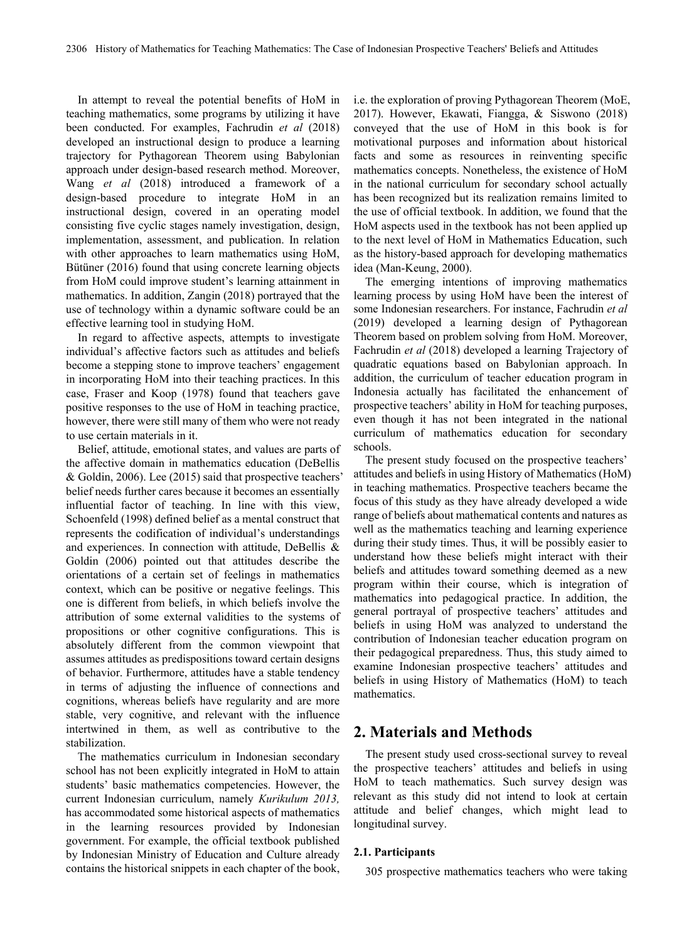In attempt to reveal the potential benefits of HoM in teaching mathematics, some programs by utilizing it have been conducted. For examples, Fachrudin *et al* (2018) developed an instructional design to produce a learning trajectory for Pythagorean Theorem using Babylonian approach under design-based research method. Moreover, Wang *et al* (2018) introduced a framework of a design-based procedure to integrate HoM in an instructional design, covered in an operating model consisting five cyclic stages namely investigation, design, implementation, assessment, and publication. In relation with other approaches to learn mathematics using HoM, Bütüner (2016) found that using concrete learning objects from HoM could improve student's learning attainment in mathematics. In addition, Zangin (2018) portrayed that the use of technology within a dynamic software could be an effective learning tool in studying HoM.

In regard to affective aspects, attempts to investigate individual's affective factors such as attitudes and beliefs become a stepping stone to improve teachers' engagement in incorporating HoM into their teaching practices. In this case, Fraser and Koop (1978) found that teachers gave positive responses to the use of HoM in teaching practice, however, there were still many of them who were not ready to use certain materials in it.

Belief, attitude, emotional states, and values are parts of the affective domain in mathematics education (DeBellis & Goldin, 2006). Lee (2015) said that prospective teachers' belief needs further cares because it becomes an essentially influential factor of teaching. In line with this view, Schoenfeld (1998) defined belief as a mental construct that represents the codification of individual's understandings and experiences. In connection with attitude, DeBellis & Goldin (2006) pointed out that attitudes describe the orientations of a certain set of feelings in mathematics context, which can be positive or negative feelings. This one is different from beliefs, in which beliefs involve the attribution of some external validities to the systems of propositions or other cognitive configurations. This is absolutely different from the common viewpoint that assumes attitudes as predispositions toward certain designs of behavior. Furthermore, attitudes have a stable tendency in terms of adjusting the influence of connections and cognitions, whereas beliefs have regularity and are more stable, very cognitive, and relevant with the influence intertwined in them, as well as contributive to the stabilization.

The mathematics curriculum in Indonesian secondary school has not been explicitly integrated in HoM to attain students' basic mathematics competencies. However, the current Indonesian curriculum, namely *Kurikulum 2013,* has accommodated some historical aspects of mathematics in the learning resources provided by Indonesian government. For example, the official textbook published by Indonesian Ministry of Education and Culture already contains the historical snippets in each chapter of the book, i.e. the exploration of proving Pythagorean Theorem (MoE, 2017). However, Ekawati, Fiangga, & Siswono (2018) conveyed that the use of HoM in this book is for motivational purposes and information about historical facts and some as resources in reinventing specific mathematics concepts. Nonetheless, the existence of HoM in the national curriculum for secondary school actually has been recognized but its realization remains limited to the use of official textbook. In addition, we found that the HoM aspects used in the textbook has not been applied up to the next level of HoM in Mathematics Education, such as the history-based approach for developing mathematics idea (Man-Keung, 2000).

The emerging intentions of improving mathematics learning process by using HoM have been the interest of some Indonesian researchers. For instance, Fachrudin *et al* (2019) developed a learning design of Pythagorean Theorem based on problem solving from HoM. Moreover, Fachrudin *et al* (2018) developed a learning Trajectory of quadratic equations based on Babylonian approach. In addition, the curriculum of teacher education program in Indonesia actually has facilitated the enhancement of prospective teachers' ability in HoM for teaching purposes, even though it has not been integrated in the national curriculum of mathematics education for secondary schools.

The present study focused on the prospective teachers' attitudes and beliefs in using History of Mathematics (HoM) in teaching mathematics. Prospective teachers became the focus of this study as they have already developed a wide range of beliefs about mathematical contents and natures as well as the mathematics teaching and learning experience during their study times. Thus, it will be possibly easier to understand how these beliefs might interact with their beliefs and attitudes toward something deemed as a new program within their course, which is integration of mathematics into pedagogical practice. In addition, the general portrayal of prospective teachers' attitudes and beliefs in using HoM was analyzed to understand the contribution of Indonesian teacher education program on their pedagogical preparedness. Thus, this study aimed to examine Indonesian prospective teachers' attitudes and beliefs in using History of Mathematics (HoM) to teach mathematics.

#### **2. Materials and Methods**

The present study used cross-sectional survey to reveal the prospective teachers' attitudes and beliefs in using HoM to teach mathematics. Such survey design was relevant as this study did not intend to look at certain attitude and belief changes, which might lead to longitudinal survey.

#### **2.1. Participants**

305 prospective mathematics teachers who were taking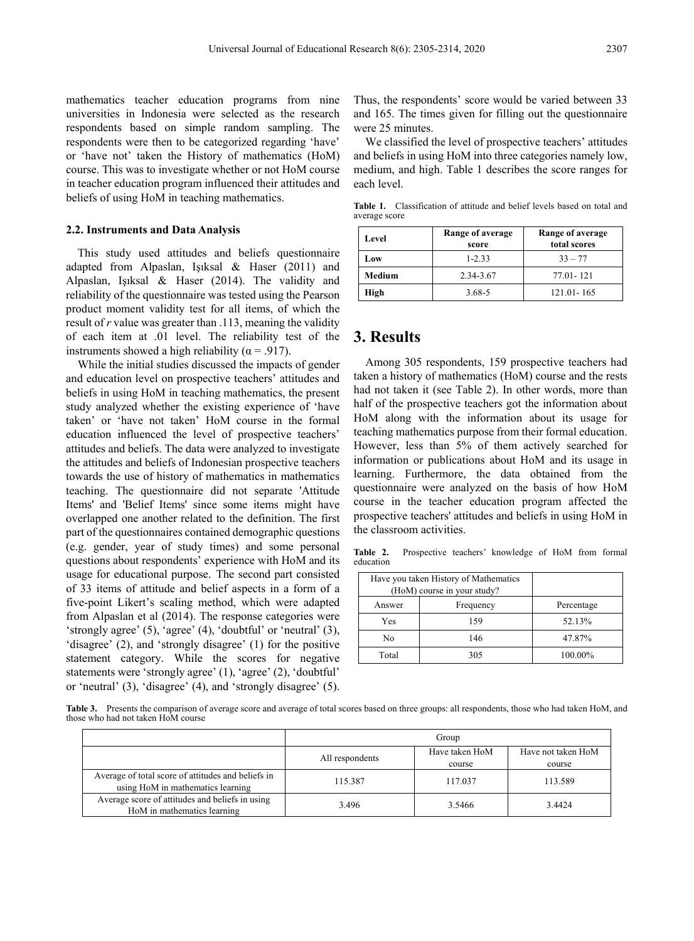mathematics teacher education programs from nine universities in Indonesia were selected as the research respondents based on simple random sampling. The respondents were then to be categorized regarding 'have' or 'have not' taken the History of mathematics (HoM) course. This was to investigate whether or not HoM course in teacher education program influenced their attitudes and beliefs of using HoM in teaching mathematics.

#### **2.2. Instruments and Data Analysis**

This study used attitudes and beliefs questionnaire adapted from Alpaslan, Işıksal & Haser (2011) and Alpaslan, Işıksal & Haser (2014). The validity and reliability of the questionnaire was tested using the Pearson product moment validity test for all items, of which the result of *r* value was greater than .113, meaning the validity of each item at .01 level. The reliability test of the instruments showed a high reliability ( $\alpha$  = .917).

While the initial studies discussed the impacts of gender and education level on prospective teachers' attitudes and beliefs in using HoM in teaching mathematics, the present study analyzed whether the existing experience of 'have taken' or 'have not taken' HoM course in the formal education influenced the level of prospective teachers' attitudes and beliefs. The data were analyzed to investigate the attitudes and beliefs of Indonesian prospective teachers towards the use of history of mathematics in mathematics teaching. The questionnaire did not separate 'Attitude Items' and 'Belief Items' since some items might have overlapped one another related to the definition. The first part of the questionnaires contained demographic questions (e.g. gender, year of study times) and some personal questions about respondents' experience with HoM and its usage for educational purpose. The second part consisted of 33 items of attitude and belief aspects in a form of a five-point Likert's scaling method, which were adapted from Alpaslan et al (2014). The response categories were 'strongly agree' (5), 'agree' (4), 'doubtful' or 'neutral' (3), 'disagree' (2), and 'strongly disagree' (1) for the positive statement category. While the scores for negative statements were 'strongly agree' (1), 'agree' (2), 'doubtful' or 'neutral' (3), 'disagree' (4), and 'strongly disagree' (5).

Thus, the respondents' score would be varied between 33 and 165. The times given for filling out the questionnaire were 25 minutes.

We classified the level of prospective teachers' attitudes and beliefs in using HoM into three categories namely low, medium, and high. Table 1 describes the score ranges for each level.

**Table 1.** Classification of attitude and belief levels based on total and average score

| Level  | Range of average<br>score | Range of average<br>total scores |  |  |
|--------|---------------------------|----------------------------------|--|--|
| Low    | $1 - 2.33$                | $33 - 77$                        |  |  |
| Medium | 2.34-3.67                 | 77.01 - 121                      |  |  |
| High   | $3.68 - 5$                | $121.01 - 165$                   |  |  |

#### **3. Results**

Among 305 respondents, 159 prospective teachers had taken a history of mathematics (HoM) course and the rests had not taken it (see Table 2). In other words, more than half of the prospective teachers got the information about HoM along with the information about its usage for teaching mathematics purpose from their formal education. However, less than 5% of them actively searched for information or publications about HoM and its usage in learning. Furthermore, the data obtained from the questionnaire were analyzed on the basis of how HoM course in the teacher education program affected the prospective teachers' attitudes and beliefs in using HoM in the classroom activities.

**Table 2.** Prospective teachers' knowledge of HoM from formal education

| Have you taken History of Mathematics<br>(HoM) course in your study? |            |         |
|----------------------------------------------------------------------|------------|---------|
| Answer                                                               | Percentage |         |
| Yes                                                                  | 159        | 52.13%  |
| No                                                                   | 146        | 47.87%  |
| Total                                                                | 305        | 100.00% |

**Table 3.** Presents the comparison of average score and average of total scores based on three groups: all respondents, those who had taken HoM, and those who had not taken HoM course

|                                                                                         | Group           |                |                    |  |
|-----------------------------------------------------------------------------------------|-----------------|----------------|--------------------|--|
|                                                                                         | All respondents | Have taken HoM | Have not taken HoM |  |
|                                                                                         |                 | course         | course             |  |
| Average of total score of attitudes and beliefs in<br>using HoM in mathematics learning | 115.387         | 117.037        | 113.589            |  |
| Average score of attitudes and beliefs in using<br>HoM in mathematics learning          | 3.496           | 3.5466         | 3.4424             |  |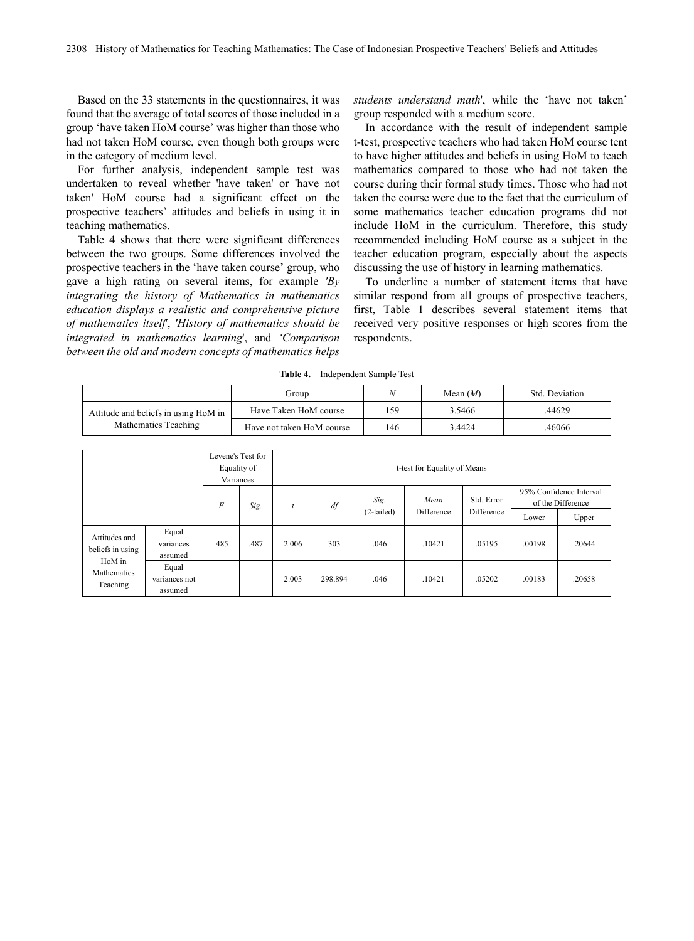Based on the 33 statements in the questionnaires, it was found that the average of total scores of those included in a group 'have taken HoM course' was higher than those who had not taken HoM course, even though both groups were in the category of medium level.

For further analysis, independent sample test was undertaken to reveal whether 'have taken' or 'have not taken' HoM course had a significant effect on the prospective teachers' attitudes and beliefs in using it in teaching mathematics.

Table 4 shows that there were significant differences between the two groups. Some differences involved the prospective teachers in the 'have taken course' group, who gave a high rating on several items, for example *'By integrating the history of Mathematics in mathematics education displays a realistic and comprehensive picture of mathematics itself*', *'History of mathematics should be integrated in mathematics learning*', and *'Comparison between the old and modern concepts of mathematics helps*

*students understand math*', while the 'have not taken' group responded with a medium score.

In accordance with the result of independent sample t-test, prospective teachers who had taken HoM course tent to have higher attitudes and beliefs in using HoM to teach mathematics compared to those who had not taken the course during their formal study times. Those who had not taken the course were due to the fact that the curriculum of some mathematics teacher education programs did not include HoM in the curriculum. Therefore, this study recommended including HoM course as a subject in the teacher education program, especially about the aspects discussing the use of history in learning mathematics.

To underline a number of statement items that have similar respond from all groups of prospective teachers, first, Table 1 describes several statement items that received very positive responses or high scores from the respondents.

|                                      | Group                     | λI   | Mean $(M)$ | Std. Deviation |
|--------------------------------------|---------------------------|------|------------|----------------|
| Attitude and beliefs in using HoM in | Have Taken HoM course     | l 59 | 3.5466     | .44629         |
| Mathematics Teaching                 | Have not taken HoM course | 146  | 3.4424     | 46066          |

**Table 4.** Independent Sample Test

|                                   |                                   | Levene's Test for<br>Equality of<br>Variances |      | t-test for Equality of Means |         |                      |                    |                          |        |                                                       |
|-----------------------------------|-----------------------------------|-----------------------------------------------|------|------------------------------|---------|----------------------|--------------------|--------------------------|--------|-------------------------------------------------------|
|                                   |                                   | $\overline{F}$                                | Sig. | t                            | df      | Sig.<br>$(2-tailed)$ | Mean<br>Difference | Std. Error<br>Difference | Lower  | 95% Confidence Interval<br>of the Difference<br>Upper |
| Attitudes and<br>beliefs in using | Equal<br>variances<br>assumed     | .485                                          | .487 | 2.006                        | 303     | .046                 | .10421             | .05195                   | .00198 | .20644                                                |
| HoM in<br>Mathematics<br>Teaching | Equal<br>variances not<br>assumed |                                               |      | 2.003                        | 298.894 | .046                 | .10421             | .05202                   | .00183 | .20658                                                |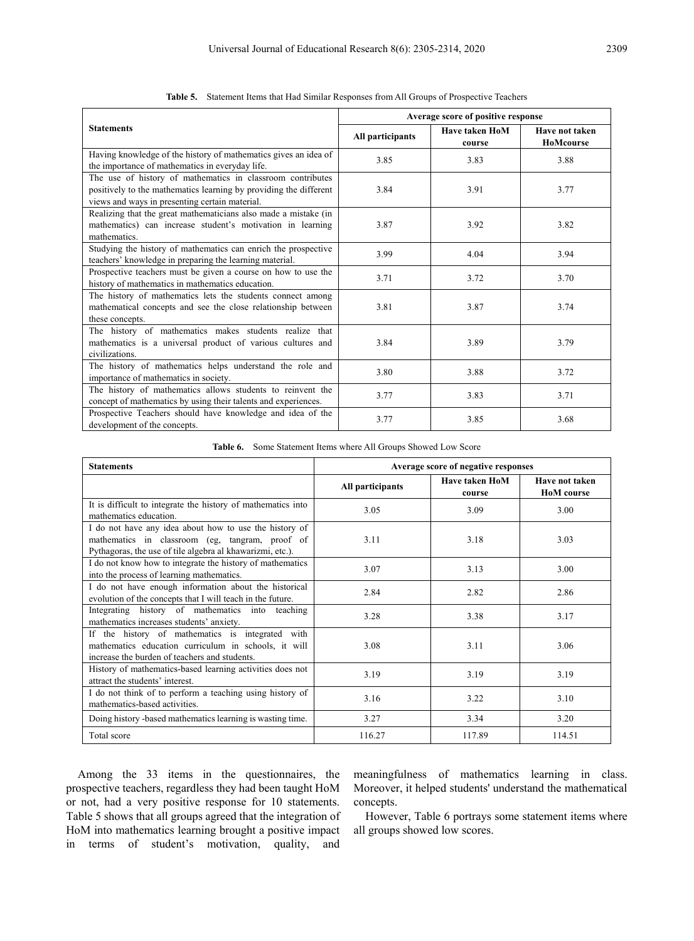|                                                                                                                                                                                   | Average score of positive response |                                 |                             |  |
|-----------------------------------------------------------------------------------------------------------------------------------------------------------------------------------|------------------------------------|---------------------------------|-----------------------------|--|
| <b>Statements</b>                                                                                                                                                                 | All participants                   | <b>Have taken HoM</b><br>course | Have not taken<br>HoMcourse |  |
| Having knowledge of the history of mathematics gives an idea of<br>the importance of mathematics in everyday life.                                                                | 3.85                               | 3.83                            | 3.88                        |  |
| The use of history of mathematics in classroom contributes<br>positively to the mathematics learning by providing the different<br>views and ways in presenting certain material. | 3.84                               | 3.91                            | 3.77                        |  |
| Realizing that the great mathematicians also made a mistake (in<br>mathematics) can increase student's motivation in learning<br>mathematics.                                     | 3.87                               | 3.92                            | 3.82                        |  |
| Studying the history of mathematics can enrich the prospective<br>teachers' knowledge in preparing the learning material.                                                         | 3.99                               | 4.04                            | 3.94                        |  |
| Prospective teachers must be given a course on how to use the<br>history of mathematics in mathematics education.                                                                 | 3.71                               | 3.72                            | 3.70                        |  |
| The history of mathematics lets the students connect among<br>mathematical concepts and see the close relationship between<br>these concepts.                                     | 3.81                               | 3.87                            | 3.74                        |  |
| The history of mathematics makes students realize that<br>mathematics is a universal product of various cultures and<br>civilizations.                                            | 3.84                               | 3.89                            | 3.79                        |  |
| The history of mathematics helps understand the role and<br>importance of mathematics in society.                                                                                 | 3.80                               | 3.88                            | 3.72                        |  |
| The history of mathematics allows students to reinvent the<br>concept of mathematics by using their talents and experiences.                                                      | 3.77                               | 3.83                            | 3.71                        |  |
| Prospective Teachers should have knowledge and idea of the<br>development of the concepts.                                                                                        | 3.77                               | 3.85                            | 3.68                        |  |

**Table 5.** Statement Items that Had Similar Responses from All Groups of Prospective Teachers

**Table 6.** Some Statement Items where All Groups Showed Low Score

| <b>Statements</b>                                                                                                                                                      | Average score of negative responses |                                 |                                     |  |  |
|------------------------------------------------------------------------------------------------------------------------------------------------------------------------|-------------------------------------|---------------------------------|-------------------------------------|--|--|
|                                                                                                                                                                        | All participants                    | <b>Have taken HoM</b><br>course | Have not taken<br><b>HoM</b> course |  |  |
| It is difficult to integrate the history of mathematics into<br>mathematics education.                                                                                 | 3.05                                | 3.09                            | 3.00                                |  |  |
| I do not have any idea about how to use the history of<br>mathematics in classroom (eg, tangram, proof of<br>Pythagoras, the use of tile algebra al khawarizmi, etc.). | 3.11                                | 3.18                            | 3.03                                |  |  |
| I do not know how to integrate the history of mathematics<br>into the process of learning mathematics.                                                                 | 3.07                                | 3.13                            | 3.00                                |  |  |
| I do not have enough information about the historical<br>evolution of the concepts that I will teach in the future.                                                    | 2.84                                | 2.82                            | 2.86                                |  |  |
| Integrating history of mathematics into teaching<br>mathematics increases students' anxiety.                                                                           | 3.28                                | 3.38                            | 3.17                                |  |  |
| If the history of mathematics is integrated with<br>mathematics education curriculum in schools, it will<br>increase the burden of teachers and students.              | 3.08                                | 3.11                            | 3.06                                |  |  |
| History of mathematics-based learning activities does not<br>attract the students' interest.                                                                           | 3.19                                | 3.19                            | 3.19                                |  |  |
| I do not think of to perform a teaching using history of<br>mathematics-based activities.                                                                              | 3.16                                | 3.22                            | 3.10                                |  |  |
| Doing history -based mathematics learning is wasting time.                                                                                                             | 3.27                                | 3.34                            | 3.20                                |  |  |
| Total score                                                                                                                                                            | 116.27                              | 117.89                          | 114.51                              |  |  |

Among the 33 items in the questionnaires, the prospective teachers, regardless they had been taught HoM or not, had a very positive response for 10 statements. Table 5 shows that all groups agreed that the integration of HoM into mathematics learning brought a positive impact in terms of student's motivation, quality, and

meaningfulness of mathematics learning in class. Moreover, it helped students' understand the mathematical concepts.

However, Table 6 portrays some statement items where all groups showed low scores.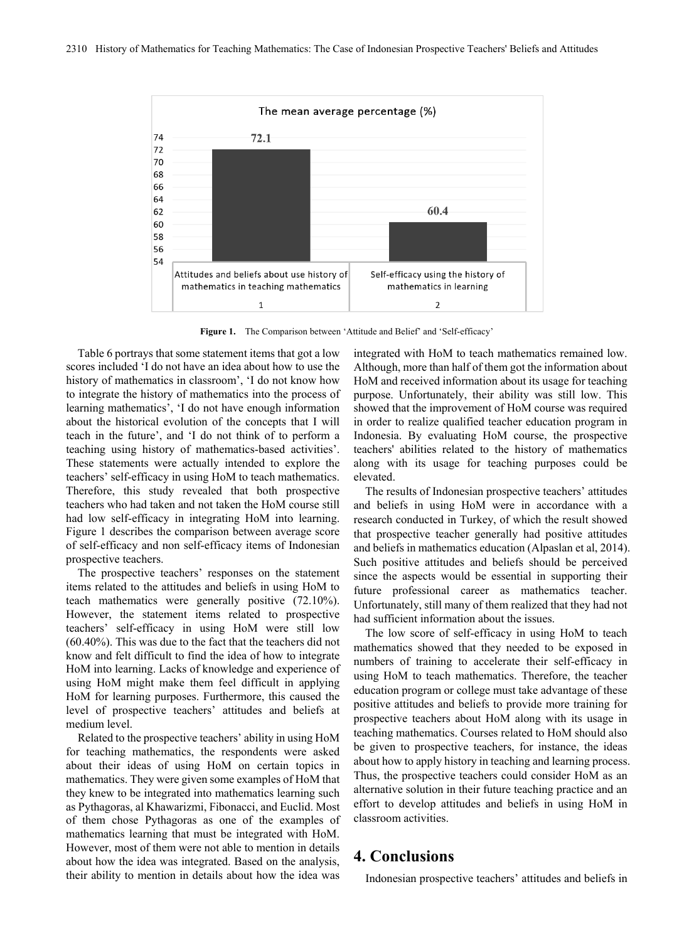

**Figure 1.** The Comparison between 'Attitude and Belief' and 'Self-efficacy'

Table 6 portrays that some statement items that got a low scores included 'I do not have an idea about how to use the history of mathematics in classroom', 'I do not know how to integrate the history of mathematics into the process of learning mathematics', 'I do not have enough information about the historical evolution of the concepts that I will teach in the future', and 'I do not think of to perform a teaching using history of mathematics-based activities'. These statements were actually intended to explore the teachers' self-efficacy in using HoM to teach mathematics. Therefore, this study revealed that both prospective teachers who had taken and not taken the HoM course still had low self-efficacy in integrating HoM into learning. Figure 1 describes the comparison between average score of self-efficacy and non self-efficacy items of Indonesian prospective teachers.

The prospective teachers' responses on the statement items related to the attitudes and beliefs in using HoM to teach mathematics were generally positive (72.10%). However, the statement items related to prospective teachers' self-efficacy in using HoM were still low (60.40%). This was due to the fact that the teachers did not know and felt difficult to find the idea of how to integrate HoM into learning. Lacks of knowledge and experience of using HoM might make them feel difficult in applying HoM for learning purposes. Furthermore, this caused the level of prospective teachers' attitudes and beliefs at medium level.

Related to the prospective teachers' ability in using HoM for teaching mathematics, the respondents were asked about their ideas of using HoM on certain topics in mathematics. They were given some examples of HoM that they knew to be integrated into mathematics learning such as Pythagoras, al Khawarizmi, Fibonacci, and Euclid. Most of them chose Pythagoras as one of the examples of mathematics learning that must be integrated with HoM. However, most of them were not able to mention in details about how the idea was integrated. Based on the analysis, their ability to mention in details about how the idea was

integrated with HoM to teach mathematics remained low. Although, more than half of them got the information about HoM and received information about its usage for teaching purpose. Unfortunately, their ability was still low. This showed that the improvement of HoM course was required in order to realize qualified teacher education program in Indonesia. By evaluating HoM course, the prospective teachers' abilities related to the history of mathematics along with its usage for teaching purposes could be elevated.

The results of Indonesian prospective teachers' attitudes and beliefs in using HoM were in accordance with a research conducted in Turkey, of which the result showed that prospective teacher generally had positive attitudes and beliefs in mathematics education (Alpaslan et al, 2014). Such positive attitudes and beliefs should be perceived since the aspects would be essential in supporting their future professional career as mathematics teacher. Unfortunately, still many of them realized that they had not had sufficient information about the issues.

The low score of self-efficacy in using HoM to teach mathematics showed that they needed to be exposed in numbers of training to accelerate their self-efficacy in using HoM to teach mathematics. Therefore, the teacher education program or college must take advantage of these positive attitudes and beliefs to provide more training for prospective teachers about HoM along with its usage in teaching mathematics. Courses related to HoM should also be given to prospective teachers, for instance, the ideas about how to apply history in teaching and learning process. Thus, the prospective teachers could consider HoM as an alternative solution in their future teaching practice and an effort to develop attitudes and beliefs in using HoM in classroom activities.

#### **4. Conclusions**

Indonesian prospective teachers' attitudes and beliefs in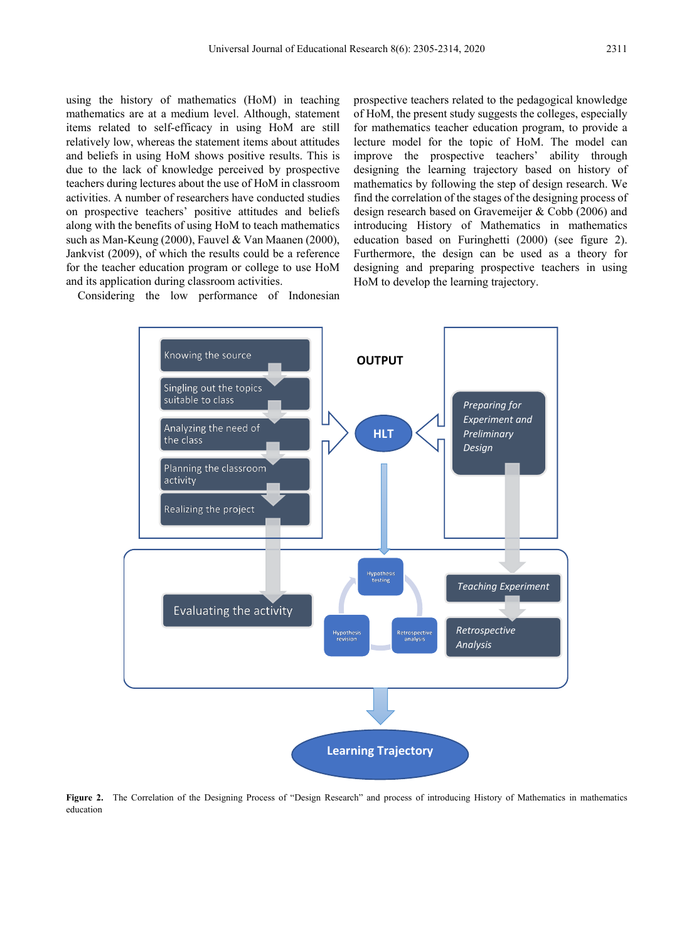using the history of mathematics (HoM) in teaching mathematics are at a medium level. Although, statement items related to self-efficacy in using HoM are still relatively low, whereas the statement items about attitudes and beliefs in using HoM shows positive results. This is due to the lack of knowledge perceived by prospective teachers during lectures about the use of HoM in classroom activities. A number of researchers have conducted studies on prospective teachers' positive attitudes and beliefs along with the benefits of using HoM to teach mathematics such as Man-Keung (2000), Fauvel & Van Maanen (2000), Jankvist (2009), of which the results could be a reference for the teacher education program or college to use HoM and its application during classroom activities.

Considering the low performance of Indonesian

prospective teachers related to the pedagogical knowledge of HoM, the present study suggests the colleges, especially for mathematics teacher education program, to provide a lecture model for the topic of HoM. The model can improve the prospective teachers' ability through designing the learning trajectory based on history of mathematics by following the step of design research. We find the correlation of the stages of the designing process of design research based on Gravemeijer & Cobb (2006) and introducing History of Mathematics in mathematics education based on Furinghetti (2000) (see figure 2). Furthermore, the design can be used as a theory for designing and preparing prospective teachers in using HoM to develop the learning trajectory.



**Figure 2.** The Correlation of the Designing Process of "Design Research" and process of introducing History of Mathematics in mathematics education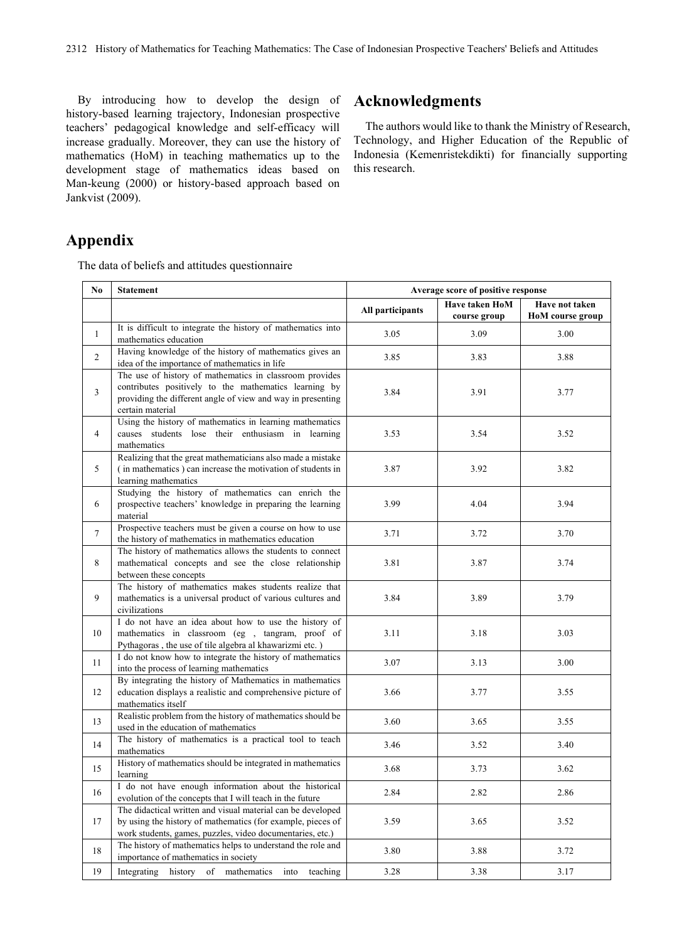By introducing how to develop the design of history-based learning trajectory, Indonesian prospective teachers' pedagogical knowledge and self-efficacy will increase gradually. Moreover, they can use the history of mathematics (HoM) in teaching mathematics up to the development stage of mathematics ideas based on Man-keung (2000) or history-based approach based on Jankvist (2009).

## **Acknowledgments**

The authors would like to thank the Ministry of Research, Technology, and Higher Education of the Republic of Indonesia (Kemenristekdikti) for financially supporting this research.

## **Appendix**

The data of beliefs and attitudes questionnaire

| N <sub>0</sub> | <b>Statement</b>                                                                                                         | Average score of positive response |              |                  |  |
|----------------|--------------------------------------------------------------------------------------------------------------------------|------------------------------------|--------------|------------------|--|
|                |                                                                                                                          | Have taken HoM                     |              | Have not taken   |  |
|                |                                                                                                                          | All participants                   | course group | HoM course group |  |
| $\mathbf{1}$   | It is difficult to integrate the history of mathematics into                                                             | 3.05                               | 3.09         | 3.00             |  |
|                | mathematics education                                                                                                    |                                    |              |                  |  |
| $\overline{2}$ | Having knowledge of the history of mathematics gives an                                                                  | 3.85                               | 3.83         | 3.88             |  |
|                | idea of the importance of mathematics in life                                                                            |                                    |              |                  |  |
|                | The use of history of mathematics in classroom provides                                                                  |                                    |              |                  |  |
| 3              | contributes positively to the mathematics learning by<br>providing the different angle of view and way in presenting     | 3.84                               | 3.91         | 3.77             |  |
|                | certain material                                                                                                         |                                    |              |                  |  |
|                | Using the history of mathematics in learning mathematics                                                                 |                                    |              |                  |  |
| $\overline{4}$ | causes students lose their enthusiasm in learning                                                                        | 3.53                               | 3.54         | 3.52             |  |
|                | mathematics                                                                                                              |                                    |              |                  |  |
|                | Realizing that the great mathematicians also made a mistake                                                              |                                    |              |                  |  |
| 5              | (in mathematics) can increase the motivation of students in                                                              | 3.87                               | 3.92         | 3.82             |  |
|                | learning mathematics                                                                                                     |                                    |              |                  |  |
|                | Studying the history of mathematics can enrich the                                                                       |                                    |              |                  |  |
| 6              | prospective teachers' knowledge in preparing the learning                                                                | 3.99                               | 4.04         | 3.94             |  |
|                | material                                                                                                                 |                                    |              |                  |  |
| $\tau$         | Prospective teachers must be given a course on how to use                                                                | 3.71                               | 3.72         | 3.70             |  |
|                | the history of mathematics in mathematics education<br>The history of mathematics allows the students to connect         |                                    |              |                  |  |
| 8              | mathematical concepts and see the close relationship                                                                     | 3.81                               | 3.87         | 3.74             |  |
|                | between these concepts                                                                                                   |                                    |              |                  |  |
|                | The history of mathematics makes students realize that                                                                   |                                    |              |                  |  |
| 9              | mathematics is a universal product of various cultures and                                                               | 3.84                               | 3.89         | 3.79             |  |
|                | civilizations                                                                                                            |                                    |              |                  |  |
|                | I do not have an idea about how to use the history of                                                                    |                                    |              |                  |  |
| 10             | mathematics in classroom (eg , tangram, proof of                                                                         | 3.11                               | 3.18         | 3.03             |  |
|                | Pythagoras, the use of tile algebra al khawarizmi etc.)                                                                  |                                    |              |                  |  |
| 11             | I do not know how to integrate the history of mathematics                                                                | 3.07                               | 3.13         | 3.00             |  |
|                | into the process of learning mathematics                                                                                 |                                    |              |                  |  |
| 12             | By integrating the history of Mathematics in mathematics                                                                 |                                    |              |                  |  |
|                | education displays a realistic and comprehensive picture of<br>mathematics itself                                        | 3.66                               | 3.77         | 3.55             |  |
|                | Realistic problem from the history of mathematics should be                                                              |                                    |              |                  |  |
| 13             | used in the education of mathematics                                                                                     | 3.60                               | 3.65         | 3.55             |  |
|                | The history of mathematics is a practical tool to teach                                                                  |                                    |              |                  |  |
| 14             | mathematics                                                                                                              | 3.46                               | 3.52         | 3.40             |  |
| 15             | History of mathematics should be integrated in mathematics                                                               | 3.68                               | 3.73         | 3.62             |  |
|                | learning                                                                                                                 |                                    |              |                  |  |
| 16             | I do not have enough information about the historical                                                                    | 2.84                               | 2.82         | 2.86             |  |
|                | evolution of the concepts that I will teach in the future                                                                |                                    |              |                  |  |
|                | The didactical written and visual material can be developed                                                              |                                    |              |                  |  |
| 17             | by using the history of mathematics (for example, pieces of                                                              | 3.59                               | 3.65         | 3.52             |  |
|                | work students, games, puzzles, video documentaries, etc.)<br>The history of mathematics helps to understand the role and |                                    |              |                  |  |
| 18             | importance of mathematics in society                                                                                     | 3.80                               | 3.88         | 3.72             |  |
| 19             | Integrating history of mathematics into teaching                                                                         | 3.28                               | 3.38         | 3.17             |  |
|                |                                                                                                                          |                                    |              |                  |  |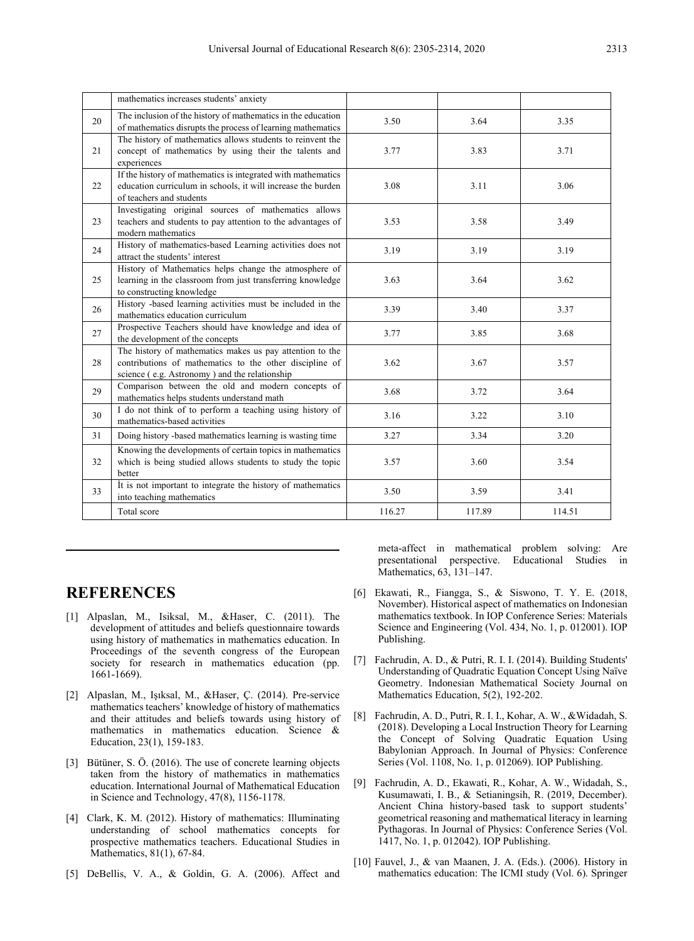|    | mathematics increases students' anxiety                                                                                                                              |        |        |        |
|----|----------------------------------------------------------------------------------------------------------------------------------------------------------------------|--------|--------|--------|
| 20 | The inclusion of the history of mathematics in the education<br>of mathematics disrupts the process of learning mathematics                                          | 3.50   | 3.64   | 3.35   |
| 21 | The history of mathematics allows students to reinvent the<br>concept of mathematics by using their the talents and<br>experiences                                   | 3.77   | 3.83   | 3.71   |
| 22 | If the history of mathematics is integrated with mathematics<br>education curriculum in schools, it will increase the burden<br>of teachers and students             | 3.08   | 3.11   | 3.06   |
| 23 | Investigating original sources of mathematics allows<br>teachers and students to pay attention to the advantages of<br>modern mathematics                            | 3.53   | 3.58   | 3.49   |
| 24 | History of mathematics-based Learning activities does not<br>attract the students' interest                                                                          | 3.19   | 3.19   | 3.19   |
| 25 | History of Mathematics helps change the atmosphere of<br>learning in the classroom from just transferring knowledge<br>to constructing knowledge                     | 3.63   | 3.64   | 3.62   |
| 26 | History -based learning activities must be included in the<br>mathematics education curriculum                                                                       | 3.39   | 3.40   | 3.37   |
| 27 | Prospective Teachers should have knowledge and idea of<br>the development of the concepts                                                                            | 3.77   | 3.85   | 3.68   |
| 28 | The history of mathematics makes us pay attention to the<br>contributions of mathematics to the other discipline of<br>science (e.g. Astronomy) and the relationship | 3.62   | 3.67   | 3.57   |
| 29 | Comparison between the old and modern concepts of<br>mathematics helps students understand math                                                                      | 3.68   | 3.72   | 3.64   |
| 30 | I do not think of to perform a teaching using history of<br>mathematics-based activities                                                                             | 3.16   | 3.22   | 3.10   |
| 31 | Doing history -based mathematics learning is wasting time                                                                                                            | 3.27   | 3.34   | 3.20   |
| 32 | Knowing the developments of certain topics in mathematics<br>which is being studied allows students to study the topic<br>better                                     | 3.57   | 3.60   | 3.54   |
| 33 | It is not important to integrate the history of mathematics<br>into teaching mathematics                                                                             | 3.50   | 3.59   | 3.41   |
|    | Total score                                                                                                                                                          | 116.27 | 117.89 | 114.51 |

#### **REFERENCES**

- [1] Alpaslan, M., Isiksal, M., &Haser, C. (2011). The development of attitudes and beliefs questionnaire towards using history of mathematics in mathematics education. In Proceedings of the seventh congress of the European society for research in mathematics education (pp. 1661-1669).
- [2] Alpaslan, M., Işıksal, M., &Haser, Ç. (2014). Pre-service mathematics teachers' knowledge of history of mathematics and their attitudes and beliefs towards using history of mathematics in mathematics education. Science & Education, 23(1), 159-183.
- [3] Bütüner, S. Ö. (2016). The use of concrete learning objects taken from the history of mathematics in mathematics education. International Journal of Mathematical Education in Science and Technology, 47(8), 1156-1178.
- [4] Clark, K. M. (2012). History of mathematics: Illuminating understanding of school mathematics concepts for prospective mathematics teachers. Educational Studies in Mathematics, 81(1), 67-84.
- [5] DeBellis, V. A., & Goldin, G. A. (2006). Affect and

meta-affect in mathematical problem solving: Are presentational perspective. Educational Studies in Mathematics, 63, 131-147.

- [6] Ekawati, R., Fiangga, S., & Siswono, T. Y. E. (2018, November). Historical aspect of mathematics on Indonesian mathematics textbook. In IOP Conference Series: Materials Science and Engineering (Vol. 434, No. 1, p. 012001). IOP Publishing.
- [7] Fachrudin, A. D., & Putri, R. I. I. (2014). Building Students' Understanding of Quadratic Equation Concept Using Naïve Geometry. Indonesian Mathematical Society Journal on Mathematics Education, 5(2), 192-202.
- [8] Fachrudin, A. D., Putri, R. I. I., Kohar, A. W., &Widadah, S. (2018). Developing a Local Instruction Theory for Learning the Concept of Solving Quadratic Equation Using Babylonian Approach. In Journal of Physics: Conference Series (Vol. 1108, No. 1, p. 012069). IOP Publishing.
- [9] Fachrudin, A. D., Ekawati, R., Kohar, A. W., Widadah, S., Kusumawati, I. B., & Setianingsih, R. (2019, December). Ancient China history-based task to support students' geometrical reasoning and mathematical literacy in learning Pythagoras. In Journal of Physics: Conference Series (Vol. 1417, No. 1, p. 012042). IOP Publishing.
- [10] Fauvel, J., & van Maanen, J. A. (Eds.). (2006). History in mathematics education: The ICMI study (Vol. 6). Springer